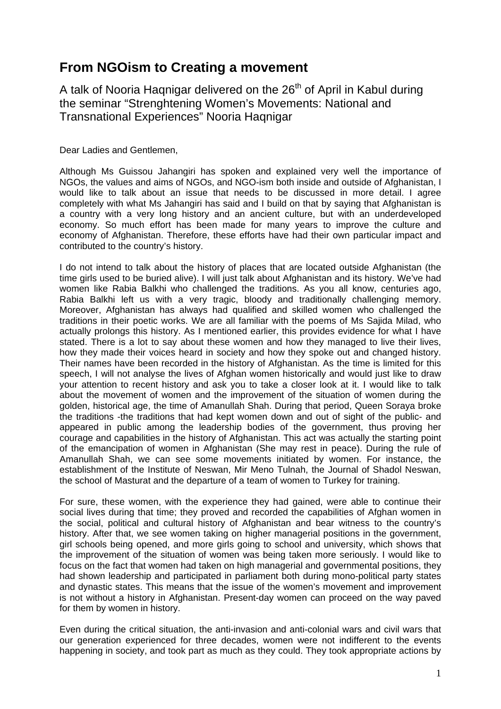## **From NGOism to Creating a movement**

A talk of Nooria Hagnigar delivered on the 26<sup>th</sup> of April in Kabul during the seminar "Strenghtening Women's Movements: National and Transnational Experiences" Nooria Haqnigar

Dear Ladies and Gentlemen,

Although Ms Guissou Jahangiri has spoken and explained very well the importance of NGOs, the values and aims of NGOs, and NGO-ism both inside and outside of Afghanistan, I would like to talk about an issue that needs to be discussed in more detail. I agree completely with what Ms Jahangiri has said and I build on that by saying that Afghanistan is a country with a very long history and an ancient culture, but with an underdeveloped economy. So much effort has been made for many years to improve the culture and economy of Afghanistan. Therefore, these efforts have had their own particular impact and contributed to the country's history.

I do not intend to talk about the history of places that are located outside Afghanistan (the time girls used to be buried alive). I will just talk about Afghanistan and its history. We've had women like Rabia Balkhi who challenged the traditions. As you all know, centuries ago, Rabia Balkhi left us with a very tragic, bloody and traditionally challenging memory. Moreover, Afghanistan has always had qualified and skilled women who challenged the traditions in their poetic works. We are all familiar with the poems of Ms Sajida Milad, who actually prolongs this history. As I mentioned earlier, this provides evidence for what I have stated. There is a lot to say about these women and how they managed to live their lives, how they made their voices heard in society and how they spoke out and changed history. Their names have been recorded in the history of Afghanistan. As the time is limited for this speech, I will not analyse the lives of Afghan women historically and would just like to draw your attention to recent history and ask you to take a closer look at it. I would like to talk about the movement of women and the improvement of the situation of women during the golden, historical age, the time of Amanullah Shah. During that period, Queen Soraya broke the traditions -the traditions that had kept women down and out of sight of the public- and appeared in public among the leadership bodies of the government, thus proving her courage and capabilities in the history of Afghanistan. This act was actually the starting point of the emancipation of women in Afghanistan (She may rest in peace). During the rule of Amanullah Shah, we can see some movements initiated by women. For instance, the establishment of the Institute of Neswan, Mir Meno Tulnah, the Journal of Shadol Neswan, the school of Masturat and the departure of a team of women to Turkey for training.

For sure, these women, with the experience they had gained, were able to continue their social lives during that time; they proved and recorded the capabilities of Afghan women in the social, political and cultural history of Afghanistan and bear witness to the country's history. After that, we see women taking on higher managerial positions in the government, girl schools being opened, and more girls going to school and university, which shows that the improvement of the situation of women was being taken more seriously. I would like to focus on the fact that women had taken on high managerial and governmental positions, they had shown leadership and participated in parliament both during mono-political party states and dynastic states. This means that the issue of the women's movement and improvement is not without a history in Afghanistan. Present-day women can proceed on the way paved for them by women in history.

Even during the critical situation, the anti-invasion and anti-colonial wars and civil wars that our generation experienced for three decades, women were not indifferent to the events happening in society, and took part as much as they could. They took appropriate actions by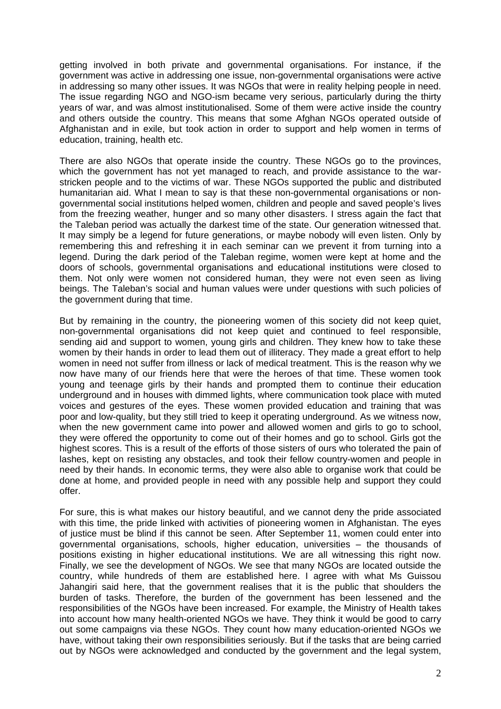getting involved in both private and governmental organisations. For instance, if the government was active in addressing one issue, non-governmental organisations were active in addressing so many other issues. It was NGOs that were in reality helping people in need. The issue regarding NGO and NGO-ism became very serious, particularly during the thirty years of war, and was almost institutionalised. Some of them were active inside the country and others outside the country. This means that some Afghan NGOs operated outside of Afghanistan and in exile, but took action in order to support and help women in terms of education, training, health etc.

There are also NGOs that operate inside the country. These NGOs go to the provinces, which the government has not yet managed to reach, and provide assistance to the warstricken people and to the victims of war. These NGOs supported the public and distributed humanitarian aid. What I mean to say is that these non-governmental organisations or nongovernmental social institutions helped women, children and people and saved people's lives from the freezing weather, hunger and so many other disasters. I stress again the fact that the Taleban period was actually the darkest time of the state. Our generation witnessed that. It may simply be a legend for future generations, or maybe nobody will even listen. Only by remembering this and refreshing it in each seminar can we prevent it from turning into a legend. During the dark period of the Taleban regime, women were kept at home and the doors of schools, governmental organisations and educational institutions were closed to them. Not only were women not considered human, they were not even seen as living beings. The Taleban's social and human values were under questions with such policies of the government during that time.

But by remaining in the country, the pioneering women of this society did not keep quiet, non-governmental organisations did not keep quiet and continued to feel responsible, sending aid and support to women, young girls and children. They knew how to take these women by their hands in order to lead them out of illiteracy. They made a great effort to help women in need not suffer from illness or lack of medical treatment. This is the reason why we now have many of our friends here that were the heroes of that time. These women took young and teenage girls by their hands and prompted them to continue their education underground and in houses with dimmed lights, where communication took place with muted voices and gestures of the eyes. These women provided education and training that was poor and low-quality, but they still tried to keep it operating underground. As we witness now, when the new government came into power and allowed women and girls to go to school, they were offered the opportunity to come out of their homes and go to school. Girls got the highest scores. This is a result of the efforts of those sisters of ours who tolerated the pain of lashes, kept on resisting any obstacles, and took their fellow country-women and people in need by their hands. In economic terms, they were also able to organise work that could be done at home, and provided people in need with any possible help and support they could offer.

For sure, this is what makes our history beautiful, and we cannot deny the pride associated with this time, the pride linked with activities of pioneering women in Afghanistan. The eyes of justice must be blind if this cannot be seen. After September 11, women could enter into governmental organisations, schools, higher education, universities – the thousands of positions existing in higher educational institutions. We are all witnessing this right now. Finally, we see the development of NGOs. We see that many NGOs are located outside the country, while hundreds of them are established here. I agree with what Ms Guissou Jahangiri said here, that the government realises that it is the public that shoulders the burden of tasks. Therefore, the burden of the government has been lessened and the responsibilities of the NGOs have been increased. For example, the Ministry of Health takes into account how many health-oriented NGOs we have. They think it would be good to carry out some campaigns via these NGOs. They count how many education-oriented NGOs we have, without taking their own responsibilities seriously. But if the tasks that are being carried out by NGOs were acknowledged and conducted by the government and the legal system,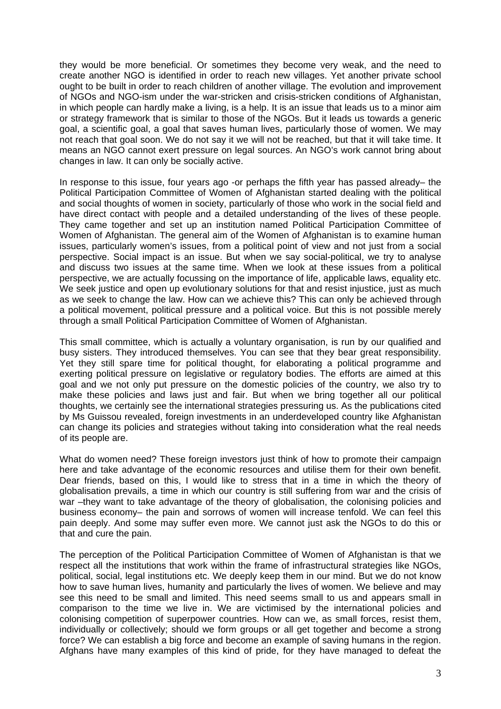they would be more beneficial. Or sometimes they become very weak, and the need to create another NGO is identified in order to reach new villages. Yet another private school ought to be built in order to reach children of another village. The evolution and improvement of NGOs and NGO-ism under the war-stricken and crisis-stricken conditions of Afghanistan, in which people can hardly make a living, is a help. It is an issue that leads us to a minor aim or strategy framework that is similar to those of the NGOs. But it leads us towards a generic goal, a scientific goal, a goal that saves human lives, particularly those of women. We may not reach that goal soon. We do not say it we will not be reached, but that it will take time. It means an NGO cannot exert pressure on legal sources. An NGO's work cannot bring about changes in law. It can only be socially active.

In response to this issue, four years ago -or perhaps the fifth year has passed already– the Political Participation Committee of Women of Afghanistan started dealing with the political and social thoughts of women in society, particularly of those who work in the social field and have direct contact with people and a detailed understanding of the lives of these people. They came together and set up an institution named Political Participation Committee of Women of Afghanistan. The general aim of the Women of Afghanistan is to examine human issues, particularly women's issues, from a political point of view and not just from a social perspective. Social impact is an issue. But when we say social-political, we try to analyse and discuss two issues at the same time. When we look at these issues from a political perspective, we are actually focussing on the importance of life, applicable laws, equality etc. We seek justice and open up evolutionary solutions for that and resist injustice, just as much as we seek to change the law. How can we achieve this? This can only be achieved through a political movement, political pressure and a political voice. But this is not possible merely through a small Political Participation Committee of Women of Afghanistan.

This small committee, which is actually a voluntary organisation, is run by our qualified and busy sisters. They introduced themselves. You can see that they bear great responsibility. Yet they still spare time for political thought, for elaborating a political programme and exerting political pressure on legislative or regulatory bodies. The efforts are aimed at this goal and we not only put pressure on the domestic policies of the country, we also try to make these policies and laws just and fair. But when we bring together all our political thoughts, we certainly see the international strategies pressuring us. As the publications cited by Ms Guissou revealed, foreign investments in an underdeveloped country like Afghanistan can change its policies and strategies without taking into consideration what the real needs of its people are.

What do women need? These foreign investors just think of how to promote their campaign here and take advantage of the economic resources and utilise them for their own benefit. Dear friends, based on this, I would like to stress that in a time in which the theory of globalisation prevails, a time in which our country is still suffering from war and the crisis of war –they want to take advantage of the theory of globalisation, the colonising policies and business economy– the pain and sorrows of women will increase tenfold. We can feel this pain deeply. And some may suffer even more. We cannot just ask the NGOs to do this or that and cure the pain.

The perception of the Political Participation Committee of Women of Afghanistan is that we respect all the institutions that work within the frame of infrastructural strategies like NGOs, political, social, legal institutions etc. We deeply keep them in our mind. But we do not know how to save human lives, humanity and particularly the lives of women. We believe and may see this need to be small and limited. This need seems small to us and appears small in comparison to the time we live in. We are victimised by the international policies and colonising competition of superpower countries. How can we, as small forces, resist them, individually or collectively; should we form groups or all get together and become a strong force? We can establish a big force and become an example of saving humans in the region. Afghans have many examples of this kind of pride, for they have managed to defeat the